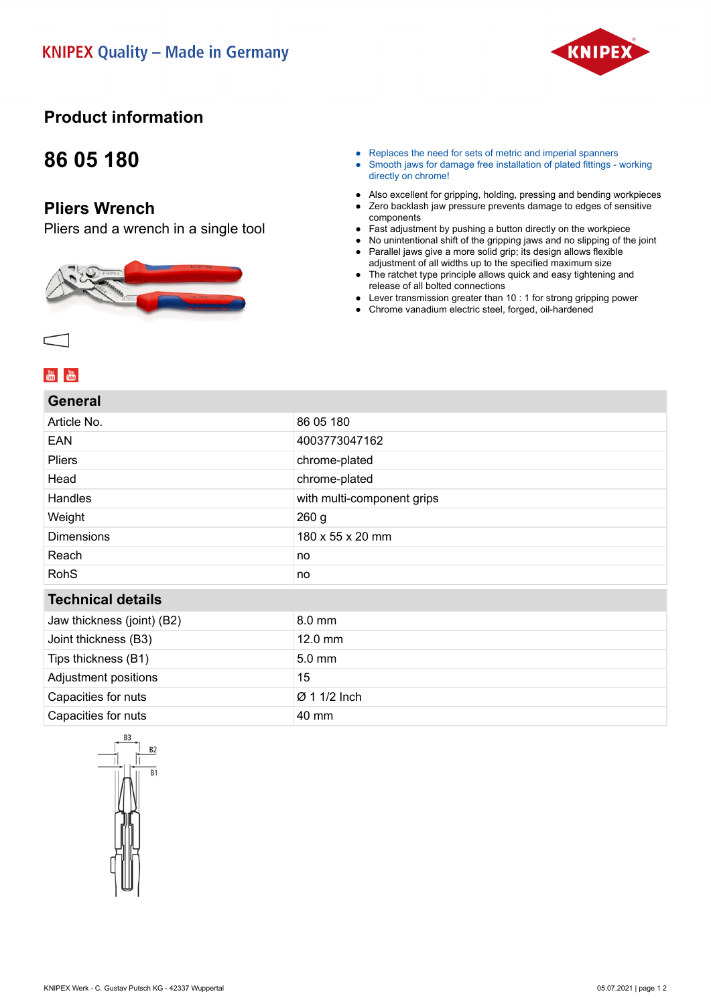

### **Product information**

## **86 05 180**

### **Pliers Wrench**

Pliers and a wrench in a single tool



- Replaces the need for sets of metric and imperial spanners
- Smooth jaws for damage free installation of plated fittings working directly on chrome!
- Also excellent for gripping, holding, pressing and bending workpieces
- Zero backlash jaw pressure prevents damage to edges of sensitive components
- Fast adjustment by pushing a button directly on the workpiece
- No unintentional shift of the gripping jaws and no slipping of the joint
- Parallel jaws give a more solid grip; its design allows flexible adjustment of all widths up to the specified maximum size
- The ratchet type principle allows quick and easy tightening and release of all bolted connections
- Lever transmission greater than 10 : 1 for strong gripping power
- Chrome vanadium electric steel, forged, oil-hardened

#### **You**<br>**Tube** You

#### **General**

| Article No.                | 86 05 180                  |
|----------------------------|----------------------------|
| <b>EAN</b>                 | 4003773047162              |
| Pliers                     | chrome-plated              |
| Head                       | chrome-plated              |
| Handles                    | with multi-component grips |
| Weight                     | 260 <sub>g</sub>           |
| <b>Dimensions</b>          | 180 x 55 x 20 mm           |
| Reach                      | no                         |
| <b>RohS</b>                | no                         |
| <b>Technical details</b>   |                            |
| Jaw thickness (joint) (B2) | 8.0 mm                     |
| Joint thickness (B3)       | 12.0 mm                    |
| Tips thickness (B1)        | 5.0 mm                     |
| Adjustment positions       | 15                         |
| Capacities for nuts        | Ø 1 1/2 Inch               |
| Capacities for nuts        | 40 mm                      |